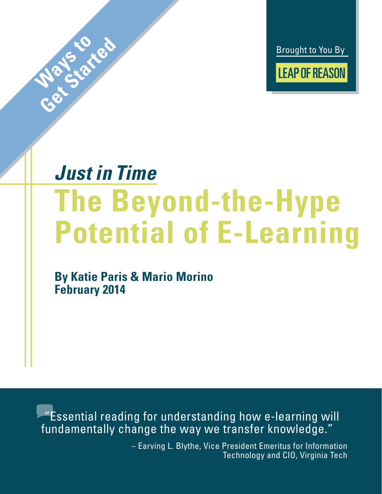Brought to You By **LEAP OF REASON** 

# *Just in Time* **The Beyond-the-Hype Potential of E-Learning**

**By Katie Paris & Mario Morino February 2014**

**Ways to ted** 

 "Essential reading for understanding how e-learning will fundamentally change the way we transfer knowledge."

> – Earving L. Blythe, Vice President Emeritus for Information Technology and CIO, Virginia Tech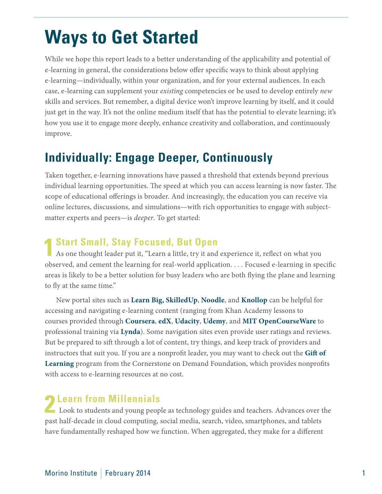## **Ways to Get Started**

While we hope this report leads to a better understanding of the applicability and potential of e-learning in general, the considerations below offer specific ways to think about applying e-learning—individually, within your organization, and for your external audiences. In each case, e-learning can supplement your *existing* competencies or be used to develop entirely *new* skills and services. But remember, a digital device won't improve learning by itself, and it could just get in the way. It's not the online medium itself that has the potential to elevate learning; it's how you use it to engage more deeply, enhance creativity and collaboration, and continuously improve.

### **Individually: Engage Deeper, Continuously**

Taken together, e-learning innovations have passed a threshold that extends beyond previous individual learning opportunities. The speed at which you can access learning is now faster. The scope of educational offerings is broader. And increasingly, the education you can receive via online lectures, discussions, and simulations—with rich opportunities to engage with subjectmatter experts and peers—is *deeper*. To get started:

#### **1 Start Small, Stay Focused, But Open**

As one thought leader put it, "Learn a little, try it and experience it, reflect on what you observed, and cement the learning for real-world application. . . . Focused e-learning in specific areas is likely to be a better solution for busy leaders who are both flying the plane and learning to fly at the same time."

New portal sites such as **[Learn Big](http://leapofreason.org/learn-big), [SkilledUp](http://leapofreason.org/skilled-up)**, **[Noodle](http://leapofreason.org/noodle)**, and **[Knollop](http://leapofreason.org/knollop)** can be helpful for accessing and navigating e-learning content (ranging from Khan Academy lessons to courses provided through **[Coursera](http://leapofreason.org/coursera)**, **[edX](http://leapofreason.org/edx)**, **[Udacity](http://leapofreason.org/udacity)**, **[Udemy](http://leapofreason.org/udemy)**, and **[MIT OpenCourseWare](http://leapofreason.org/mit-open-courseware)** to professional training via **[Lynda](http://leapofreason.org/lynda)**). Some navigation sites even provide user ratings and reviews. But be prepared to sift through a lot of content, try things, and keep track of providers and instructors that suit you. If you are a nonprofit leader, you may want to check out the **[Gift of](http://leapofreason.org/cornerstone)  [Learning](http://leapofreason.org/cornerstone)** program from the Cornerstone on Demand Foundation, which provides nonprofits with access to e-learning resources at no cost.

**2 Learn from Millennials**<br>
Look to students and young people as technology guides and teachers. Advances over the past half-decade in cloud computing, social media, search, video, smartphones, and tablets have fundamentally reshaped how we function. When aggregated, they make for a different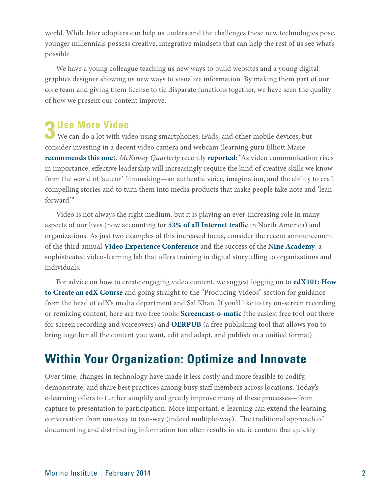world. While later adopters can help us understand the challenges these new technologies pose, younger millennials possess creative, integrative mindsets that can help the rest of us see what's possible.

We have a young colleague teaching us new ways to build websites and a young digital graphics designer showing us new ways to visualize information. By making them part of our core team and giving them license to tie disparate functions together, we have seen the quality of how we present our content improve.

#### **3 Use More Video**

We can do a lot with video using smartphones, iPads, and other mobile devices, but consider investing in a decent video camera and webcam (learning guru Elliott Masie **[recommends](http://leapofreason.org/masie-great-webcam) [this one](http://leapofreason.org/webcam)**). *McKinsey Quarterly* recently **[reported](http://leapofreason.org/mckinsey-six-social-media-skills-every-leader-needs)**: "As video communication rises in importance, effective leadership will increasingly require the kind of creative skills we know from the world of 'auteur' filmmaking—an authentic voice, imagination, and the ability to craft compelling stories and to turn them into media products that make people take note and 'lean forward.'"

Video is not always the right medium, but it is playing an ever-increasing role in many aspects of our lives (now accounting for **[53% of all Internet traffic](http://leapofreason.org/video-rules-internet)** in North America) and organizations. As just two examples of this increased focus, consider the recent announcement of the third annual **[Video Experience Conference](http://leapofreason.org/kaltura-connect-2013-video-experience-conference)** and the success of the **[Nine Academy](http://leapofreason.org/nine-academy)**, a sophisticated video-learning lab that offers training in digital storytelling to organizations and individuals.

For advice on how to create engaging video content, we suggest logging on to **[edX101: How](http://leapofreason.org/edX101-how-to-create-edX-course)  [to Create an edX Course](http://leapofreason.org/edX101-how-to-create-edX-course)** and going straight to the "Producing Videos" section for guidance from the head of edX's media department and Sal Khan. If you'd like to try on-screen recording or remixing content, here are two free tools: **[Screencast-o-matic](http://leapofreason.org/screencast-o-matic)** (the easiest free tool out there for screen recording and voiceovers) and **[OERPUB](http://leapofreason.org/oerpub)** (a free publishing tool that allows you to bring together all the content you want, edit and adapt, and publish in a unified format).

### **Within Your Organization: Optimize and Innovate**

Over time, changes in technology have made it less costly and more feasible to codify, demonstrate, and share best practices among busy staff members across locations. Today's e-learning offers to further simplify and greatly improve many of these processes—from capture to presentation to participation. More important, e-learning can extend the learning conversation from one-way to two-way (indeed multiple-way). The traditional approach of documenting and distributing information too often results in static content that quickly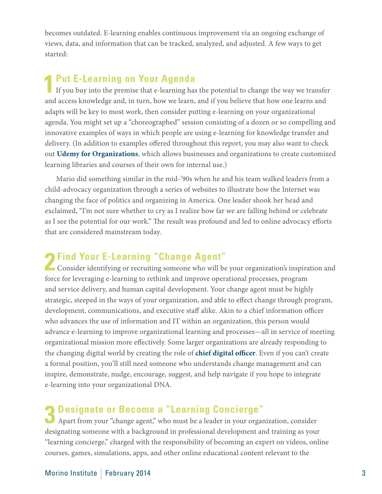becomes outdated. E-learning enables continuous improvement via an ongoing exchange of views, data, and information that can be tracked, analyzed, and adjusted. A few ways to get started:

#### **1Put E-Learning on Your Agenda**

If you buy into the premise that e-learning has the potential to change the way we transfer and access knowledge and, in turn, how we learn, and if you believe that how one learns and adapts will be key to most work, then consider putting e-learning on your organizational agenda. You might set up a "choreographed" session consisting of a dozen or so compelling and innovative examples of ways in which people are using e-learning for knowledge transfer and delivery. (In addition to examples offered throughout this report, you may also want to check out **[Udemy for Organizations](http://leapofreason.org/udemy-organizations)**, which allows businesses and organizations to create customized learning libraries and courses of their own for internal use.)

Mario did something similar in the mid-'90s when he and his team walked leaders from a child-advocacy organization through a series of websites to illustrate how the Internet was changing the face of politics and organizing in America. One leader shook her head and exclaimed, "I'm not sure whether to cry as I realize how far we are falling behind or celebrate as I see the potential for our work." The result was profound and led to online advocacy efforts that are considered mainstream today.

#### **2Find Your E-Learning "Change Agent"**

Consider identifying or recruiting someone who will be your organization's inspiration and force for leveraging e-learning to rethink and improve operational processes, program and service delivery, and human capital development. Your change agent must be highly strategic, steeped in the ways of your organization, and able to effect change through program, development, communications, and executive staff alike. Akin to a chief information officer who advances the use of information and IT within an organization, this person would advance e-learning to improve organizational learning and processes—all in service of meeting organizational mission more effectively. Some larger organizations are already responding to the changing digital world by creating the role of **[chief digital officer](http://leapofreason.org/wikipedia-chief-digital-officer)**. Even if you can't create a formal position, you'll still need someone who understands change management and can inspire, demonstrate, nudge, encourage, suggest, and help navigate if you hope to integrate e-learning into your organizational DNA.

### **3 Designate or Become a "Learning Concierge"** Apart from your "change agent," who must be a leader in your organization, consider

designating someone with a background in professional development and training as your "learning concierge," charged with the responsibility of becoming an expert on videos, online courses, games, simulations, apps, and other online educational content relevant to the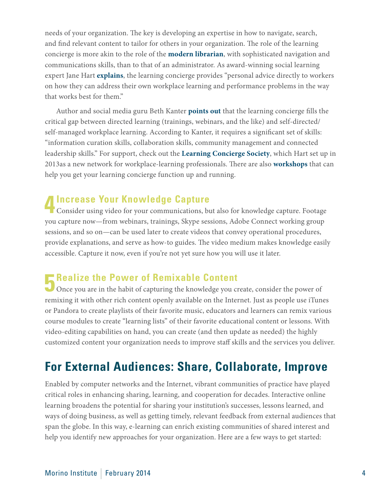needs of your organization. The key is developing an expertise in how to navigate, search, and find relevant content to tailor for others in your organization. The role of the learning concierge is more akin to the role of the **[modern librarian](http://leapofreason.org/npr-modern-makeovers-americas-libraries)**, with sophisticated navigation and communications skills, than to that of an administrator. As award-winning social learning expert Jane Hart **[explains](http://leapofreason.org/center-learning-performance-technologies-learning-concierge)**, the learning concierge provides "personal advice directly to workers on how they can address their own workplace learning and performance problems in the way that works best for them."

Author and social media guru Beth Kanter **[points out](http://leapofreason.org/peer-learning)** that the learning concierge fills the critical gap between directed learning (trainings, webinars, and the like) and self-directed/ self-managed workplace learning. According to Kanter, it requires a significant set of skills: "information curation skills, collaboration skills, community management and connected leadership skills." For support, check out the **[Learning Concierge Society](http://leapofreason.org/learning-concierge-society)**, which Hart set up in 2013as a new network for workplace-learning professionals. There are also **[workshops](http://leapofreason.org/learning-concierge-workshops)** that can help you get your learning concierge function up and running.

#### **4Increase Your Knowledge Capture**

Consider using video for your communications, but also for knowledge capture. Footage you capture now—from webinars, trainings, Skype sessions, Adobe Connect working group sessions, and so on—can be used later to create videos that convey operational procedures, provide explanations, and serve as how-to guides. The video medium makes knowledge easily accessible. Capture it now, even if you're not yet sure how you will use it later.

#### **F** Realize the Power of Remixable Content

Once you are in the habit of capturing the knowledge you create, consider the power of remixing it with other rich content openly available on the Internet. Just as people use iTunes or Pandora to create playlists of their favorite music, educators and learners can remix various course modules to create "learning lists" of their favorite educational content or lessons. With video-editing capabilities on hand, you can create (and then update as needed) the highly customized content your organization needs to improve staff skills and the services you deliver.

### **For External Audiences: Share, Collaborate, Improve**

Enabled by computer networks and the Internet, vibrant communities of practice have played critical roles in enhancing sharing, learning, and cooperation for decades. Interactive online learning broadens the potential for sharing your institution's successes, lessons learned, and ways of doing business, as well as getting timely, relevant feedback from external audiences that span the globe. In this way, e-learning can enrich existing communities of shared interest and help you identify new approaches for your organization. Here are a few ways to get started: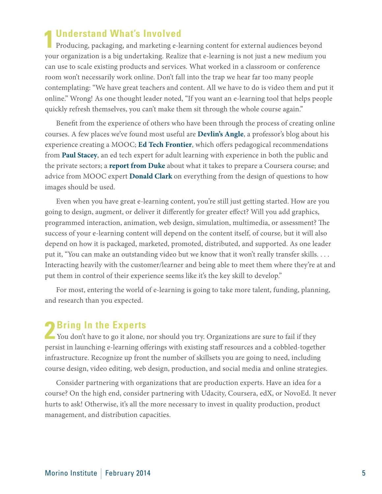**1Understand What's Involved**  Producing, packaging, and marketing e-learning content for external audiences beyond your organization is a big undertaking. Realize that e-learning is not just a new medium you can use to scale existing products and services. What worked in a classroom or conference room won't necessarily work online. Don't fall into the trap we hear far too many people contemplating: "We have great teachers and content. All we have to do is video them and put it online." Wrong! As one thought leader noted, "If you want an e-learning tool that helps people quickly refresh themselves, you can't make them sit through the whole course again."

Benefit from the experience of others who have been through the process of creating online courses. A few places we've found most useful are **[Devlin's Angle](http://leapofreason.org/devlinsangle-mooc)**, a professor's blog about his experience creating a MOOC; **[Ed Tech Frontier](http://leapofreason.org/ed-tech-frontier-pedagogy-moocs)**, which offers pedagogical recommendations from **[Paul Stacey](http://leapofreason.org/paul-stacey)**, an ed tech expert for adult learning with experience in both the public and the private sectors; a **[report from Duke](http://leapofreason.org/duke-report)** about what it takes to prepare a Coursera course; and advice from MOOC expert **[Donald Clark](http://leapofreason.org/donald-clark)** on everything from the design of questions to how images should be used.

Even when you have great e-learning content, you're still just getting started. How are you going to design, augment, or deliver it differently for greater effect? Will you add graphics, programmed interaction, animation, web design, simulation, multimedia, or assessment? The success of your e-learning content will depend on the content itself, of course, but it will also depend on how it is packaged, marketed, promoted, distributed, and supported. As one leader put it, "You can make an outstanding video but we know that it won't really transfer skills. . . . Interacting heavily with the customer/learner and being able to meet them where they're at and put them in control of their experience seems like it's the key skill to develop."

For most, entering the world of e-learning is going to take more talent, funding, planning, and research than you expected.

**2 Bring In the Experts**<br>
You don't have to go it alone, nor should you try. Organizations are sure to fail if they persist in launching e-learning offerings with existing staff resources and a cobbled-together infrastructure. Recognize up front the number of skillsets you are going to need, including course design, video editing, web design, production, and social media and online strategies.

Consider partnering with organizations that are production experts. Have an idea for a course? On the high end, consider partnering with Udacity, Coursera, edX, or NovoEd. It never hurts to ask! Otherwise, it's all the more necessary to invest in quality production, product management, and distribution capacities.